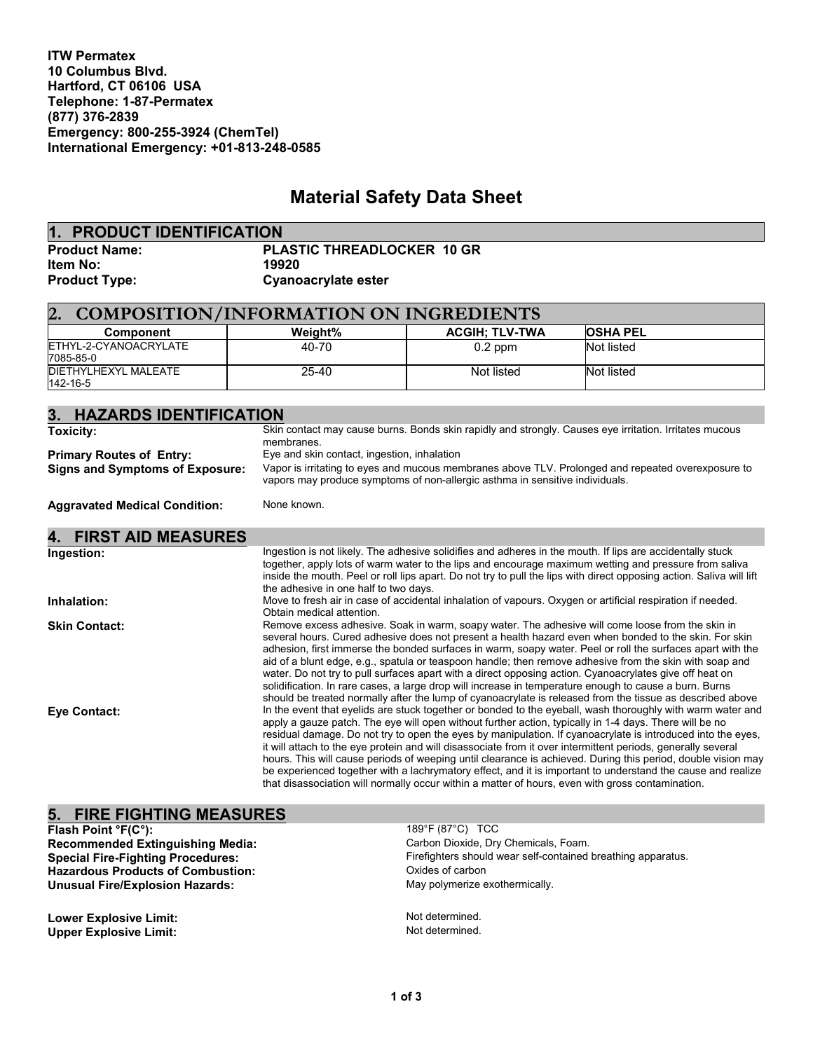**ITW Permatex 10 Columbus Blvd. Hartford, CT 06106 USA Telephone: 1-87-Permatex (877) 376-2839 Emergency: 800-255-3924 (ChemTel) International Emergency: +01-813-248-0585**

# **Material Safety Data Sheet**

| 1. PRODUCT IDENTIFICATION |                                   |
|---------------------------|-----------------------------------|
| <b>Product Name:</b>      | <b>PLASTIC THREADLOCKER 10 GR</b> |
| <b>Item No:</b>           | 19920                             |
| <b>Product Type:</b>      | Cyanoacrylate ester               |

| <b>COMPOSITION/INFORMATION ON INGREDIENTS</b><br>$\overline{2}$ |           |                       |                 |  |  |
|-----------------------------------------------------------------|-----------|-----------------------|-----------------|--|--|
| Component                                                       | Weight%   | <b>ACGIH: TLV-TWA</b> | <b>OSHA PEL</b> |  |  |
| ETHYL-2-CYANOACRYLATE<br>7085-85-0                              | 40-70     | $0.2$ ppm             | Not listed      |  |  |
| DIETHYLHEXYL MALEATE<br>142-16-5                                | $25 - 40$ | Not listed            | Not listed      |  |  |

| 3. HAZARDS IDENTIFICATION              |                                                                                                                                                                                                                                                                                                                                                                                                                                                                                                                                                                                                                                                                                                                                                                                        |  |
|----------------------------------------|----------------------------------------------------------------------------------------------------------------------------------------------------------------------------------------------------------------------------------------------------------------------------------------------------------------------------------------------------------------------------------------------------------------------------------------------------------------------------------------------------------------------------------------------------------------------------------------------------------------------------------------------------------------------------------------------------------------------------------------------------------------------------------------|--|
| <b>Toxicity:</b>                       | Skin contact may cause burns. Bonds skin rapidly and strongly. Causes eye irritation. Irritates mucous<br>membranes.                                                                                                                                                                                                                                                                                                                                                                                                                                                                                                                                                                                                                                                                   |  |
| <b>Primary Routes of Entry:</b>        | Eye and skin contact, ingestion, inhalation                                                                                                                                                                                                                                                                                                                                                                                                                                                                                                                                                                                                                                                                                                                                            |  |
| <b>Signs and Symptoms of Exposure:</b> | Vapor is irritating to eyes and mucous membranes above TLV. Prolonged and repeated overexposure to<br>vapors may produce symptoms of non-allergic asthma in sensitive individuals.                                                                                                                                                                                                                                                                                                                                                                                                                                                                                                                                                                                                     |  |
| <b>Aggravated Medical Condition:</b>   | None known.                                                                                                                                                                                                                                                                                                                                                                                                                                                                                                                                                                                                                                                                                                                                                                            |  |
| 4.<br><b>FIRST AID MEASURES</b>        |                                                                                                                                                                                                                                                                                                                                                                                                                                                                                                                                                                                                                                                                                                                                                                                        |  |
| Ingestion:                             | Ingestion is not likely. The adhesive solidifies and adheres in the mouth. If lips are accidentally stuck<br>together, apply lots of warm water to the lips and encourage maximum wetting and pressure from saliva<br>inside the mouth. Peel or roll lips apart. Do not try to pull the lips with direct opposing action. Saliva will lift<br>the adhesive in one half to two days.                                                                                                                                                                                                                                                                                                                                                                                                    |  |
| Inhalation:                            | Move to fresh air in case of accidental inhalation of vapours. Oxygen or artificial respiration if needed.<br>Obtain medical attention.                                                                                                                                                                                                                                                                                                                                                                                                                                                                                                                                                                                                                                                |  |
| <b>Skin Contact:</b>                   | Remove excess adhesive. Soak in warm, soapy water. The adhesive will come loose from the skin in<br>several hours. Cured adhesive does not present a health hazard even when bonded to the skin. For skin<br>adhesion, first immerse the bonded surfaces in warm, soapy water. Peel or roll the surfaces apart with the<br>aid of a blunt edge, e.g., spatula or teaspoon handle; then remove adhesive from the skin with soap and<br>water. Do not try to pull surfaces apart with a direct opposing action. Cyanoacrylates give off heat on<br>solidification. In rare cases, a large drop will increase in temperature enough to cause a burn. Burns<br>should be treated normally after the lump of cyanoacrylate is released from the tissue as described above                   |  |
| Eye Contact:                           | In the event that eyelids are stuck together or bonded to the eyeball, wash thoroughly with warm water and<br>apply a gauze patch. The eye will open without further action, typically in 1-4 days. There will be no<br>residual damage. Do not try to open the eyes by manipulation. If cyanoacrylate is introduced into the eyes,<br>it will attach to the eye protein and will disassociate from it over intermittent periods, generally several<br>hours. This will cause periods of weeping until clearance is achieved. During this period, double vision may<br>be experienced together with a lachrymatory effect, and it is important to understand the cause and realize<br>that disassociation will normally occur within a matter of hours, even with gross contamination. |  |

## **5. FIRE FIGHTING MEASURES**

**Recommended Extinguishing Media:<br>Special Fire-Fighting Procedures: Hazardous Products of Combustion:** Carbon Coxides of carbon<br> **Unusual Fire/Explosion Hazards:** Carbon Computer of May polymerize exothermically. **Unusual Fire/Explosion Hazards:** 

**Lower Explosive Limit:**  $\begin{array}{ccc}\n\bullet & \bullet & \bullet & \bullet \\
\bullet & \bullet & \bullet & \bullet & \bullet \\
\bullet & \bullet & \bullet & \bullet & \bullet\n\end{array}$  Not determined. **Upper Explosive Limit:** 

**Flash Point °F(C°):**<br> **Recommended Extinguishing Media:** Carbon Dioxide, Dry Chemicals, Foam.<br>
Carbon Dioxide, Dry Chemicals, Foam. Firefighters should wear self-contained breathing apparatus.<br>Oxides of carbon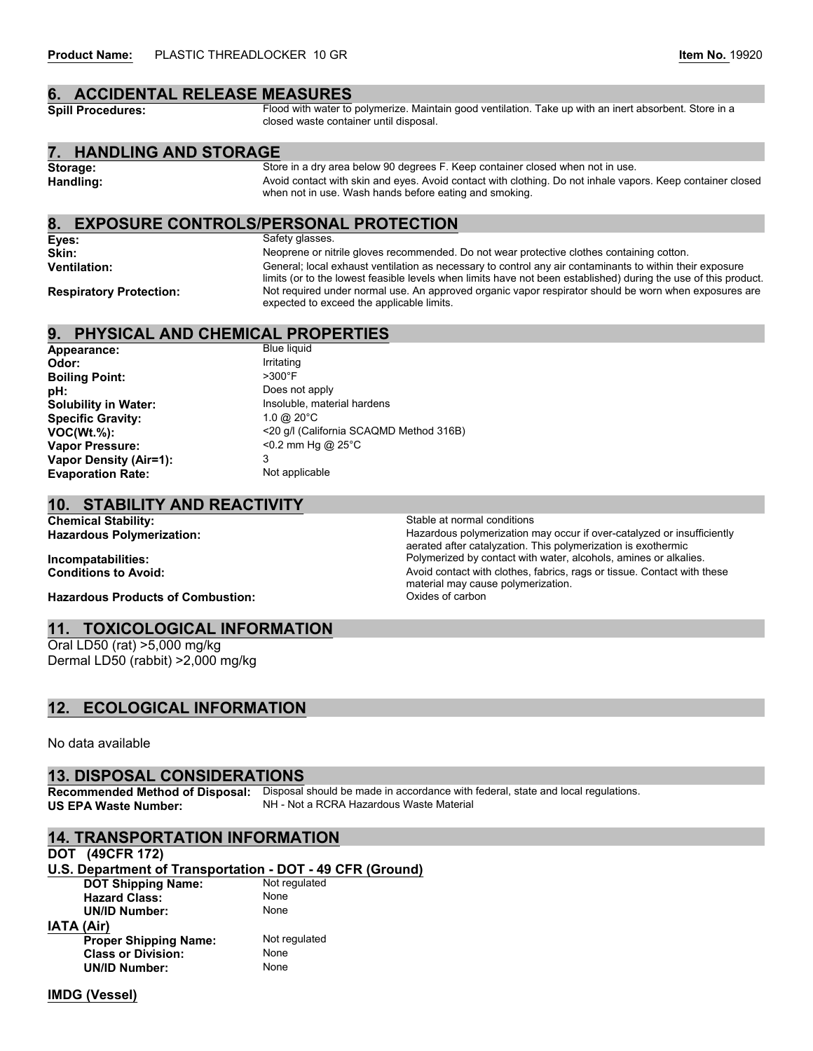# **6. ACCIDENTAL RELEASE MEASURES**<br>Spill Procedures: Flood with water to

Flood with water to polymerize. Maintain good ventilation. Take up with an inert absorbent. Store in a closed waste container until disposal.

#### **7. HANDLING AND STORAGE**

Storage: Store in a dry area below 90 degrees F. Keep container closed when not in use. Handling: **Handling:** Avoid contact with skin and eyes. Avoid contact with clothing. Do not inhale vapors. Keep container closed when not in use. Wash hands before eating and smoking.

#### **8. EXPOSURE CONTROLS/PERSONAL PROTECTION**

**Eyes:** Safety glasses. **Skin:** Neoprene or nitrile gloves recommended. Do not wear protective clothes containing cotton. **Ventilation:** General; local exhaust ventilation as necessary to control any air contaminants to within their exposure limits (or to the lowest feasible levels when limits have not been established) during the use of this product. Respiratory Protection: Not required under normal use. An approved organic vapor respirator should be worn when exposures are expected to exceed the applicable limits.

# **9. PHYSICAL AND CHEMICAL PROPERTIES**

Appearance: **Odor:** Irritating<br> **Rojling Point:** S300°F **Boiling Point: pH:** Does not apply **Solubility in Water:** Insoluble, material hardens<br> **Specific Gravity:** 1.0 @ 20°C **Specific Gravity: Vapor Pressure:**  $\leq 0.2$  mm Hg @ 25°C **Vapor Density (Air=1):** 3<br>**Evaporation Rate: 3** Not applicable **Evaporation Rate:** 

**VOC(Wt.%):** <20 g/l (California SCAQMD Method 316B)

#### **10. STABILITY AND REACTIVITY**

**Chemical Stability:** Stable at normal conditions

Hazardous Polymerization: **Hazardous Polymerization and Conventing Conventing Conventing Convention** Hazardous polymerization may occur if over-catalyzed or insufficiently aerated after catalyzation. This polymerization is exothermic **Incompatabilities: Incompatabilities:** Polymerized by contact with water, alcohols, amines or alkalies.<br> **Conditions to Avoid:** Polymerized by contact with clothes, fabrics, rags or tissue. Contact with t Avoid contact with clothes, fabrics, rags or tissue. Contact with these material may cause polymerization.<br>Oxides of carbon

**Hazardous Products of Combustion:** 

#### **11. TOXICOLOGICAL INFORMATION**

Oral LD50 (rat) >5,000 mg/kg Dermal LD50 (rabbit) >2,000 mg/kg

#### **12. ECOLOGICAL INFORMATION**

No data available

### **13. DISPOSAL CONSIDERATIONS**

**Recommended Method of Disposal:** Disposal should be made in accordance with federal, state and local regulations. **US EPA Waste Number:** NH - Not a RCRA Hazardous Waste Material

# **14. TRANSPORTATION INFORMATION**

#### **DOT (49CFR 172)**

**U.S. Department of Transportation - DOT - 49 CFR (Ground)**

**IMDG (Vessel)**